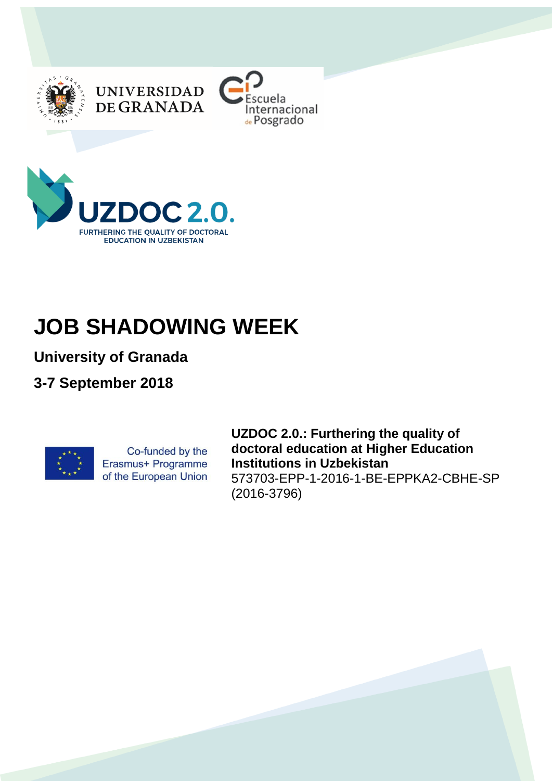





# **JOB SHADOWING WEEK**

**University of Granada**

**3-7 September 2018**



Co-funded by the Erasmus+ Programme of the European Union **UZDOC 2.0.: Furthering the quality of doctoral education at Higher Education Institutions in Uzbekistan** 573703-EPP-1-2016-1-BE-EPPKA2-CBHE-SP (2016-3796)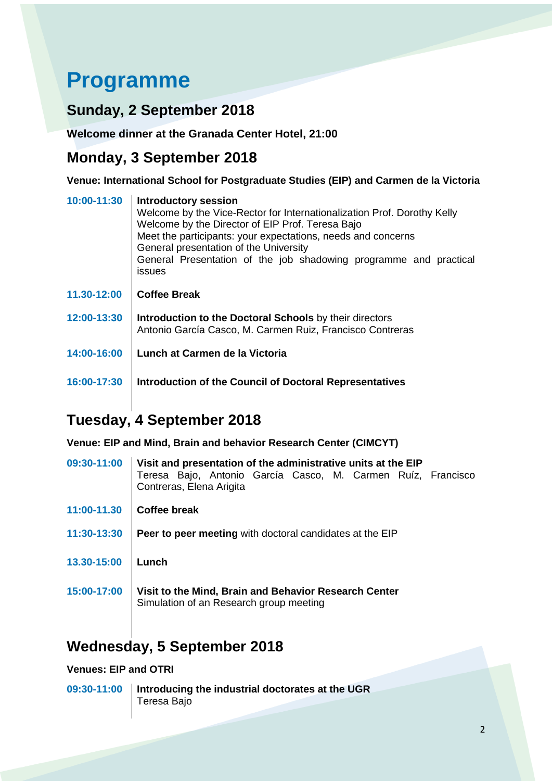## **Programme**

#### **Sunday, 2 September 2018**

**Welcome dinner at the Granada Center Hotel, 21:00**

#### **Monday, 3 September 2018**

**Venue: International School for Postgraduate Studies (EIP) and Carmen de la Victoria**

| 10:00-11:30 | <b>Introductory session</b><br>Welcome by the Vice-Rector for Internationalization Prof. Dorothy Kelly<br>Welcome by the Director of EIP Prof. Teresa Bajo<br>Meet the participants: your expectations, needs and concerns<br>General presentation of the University<br>General Presentation of the job shadowing programme and practical<br><i>issues</i> |
|-------------|------------------------------------------------------------------------------------------------------------------------------------------------------------------------------------------------------------------------------------------------------------------------------------------------------------------------------------------------------------|
| 11.30-12:00 | <b>Coffee Break</b>                                                                                                                                                                                                                                                                                                                                        |
| 12:00-13:30 | Introduction to the Doctoral Schools by their directors<br>Antonio García Casco, M. Carmen Ruiz, Francisco Contreras                                                                                                                                                                                                                                       |
| 14:00-16:00 | Lunch at Carmen de la Victoria                                                                                                                                                                                                                                                                                                                             |
| 16:00-17:30 | Introduction of the Council of Doctoral Representatives                                                                                                                                                                                                                                                                                                    |

## **Tuesday, 4 September 2018**

**Venue: EIP and Mind, Brain and behavior Research Center (CIMCYT)**

| 09:30-11:00 | Visit and presentation of the administrative units at the EIP<br>Teresa Bajo, Antonio García Casco, M. Carmen Ruíz, Francisco<br>Contreras, Elena Arigita |
|-------------|-----------------------------------------------------------------------------------------------------------------------------------------------------------|
| 11:00-11.30 | Coffee break                                                                                                                                              |
| 11:30-13:30 | <b>Peer to peer meeting with doctoral candidates at the EIP</b>                                                                                           |
| 13.30-15:00 | Lunch                                                                                                                                                     |
| 15:00-17:00 | Visit to the Mind, Brain and Behavior Research Center<br>Simulation of an Research group meeting                                                          |

### **Wednesday, 5 September 2018**

#### **Venues: EIP and OTRI**

**09:30-11:00 Introducing the industrial doctorates at the UGR** Teresa Bajo